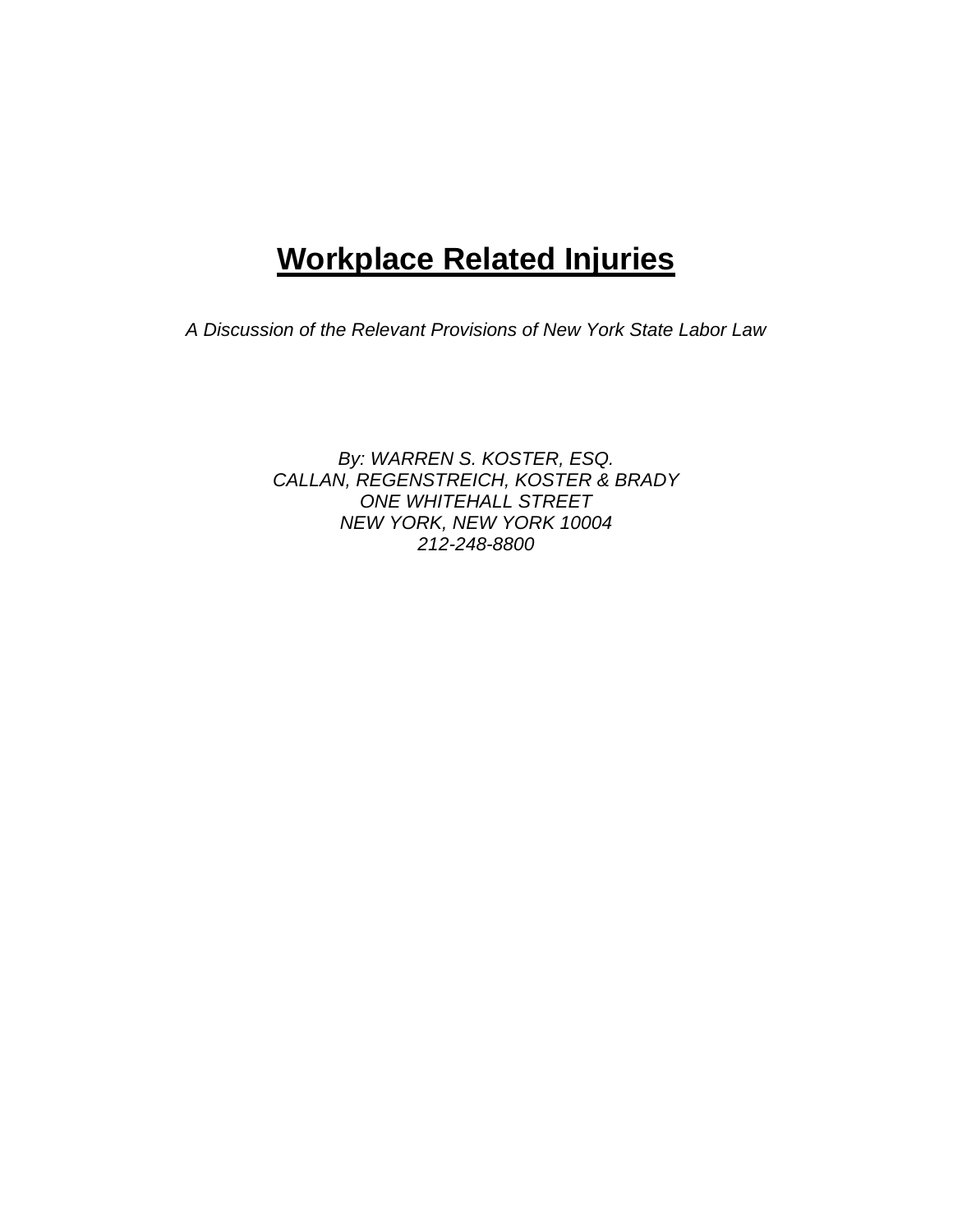# **Workplace Related Injuries**

*A Discussion of the Relevant Provisions of New York State Labor Law* 

*By: WARREN S. KOSTER, ESQ. CALLAN, REGENSTREICH, KOSTER & BRADY ONE WHITEHALL STREET NEW YORK, NEW YORK 10004 212-248-8800*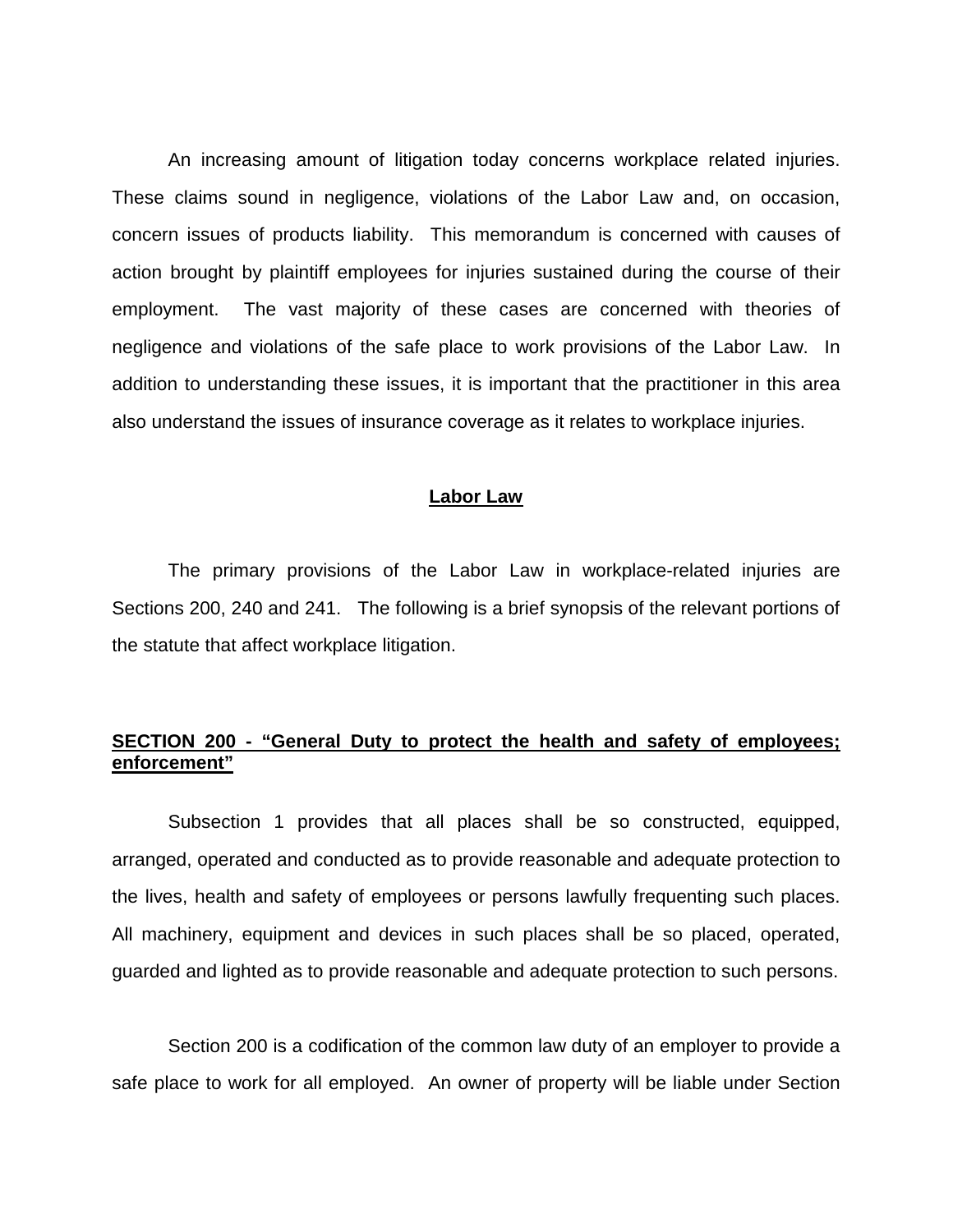An increasing amount of litigation today concerns workplace related injuries. These claims sound in negligence, violations of the Labor Law and, on occasion, concern issues of products liability. This memorandum is concerned with causes of action brought by plaintiff employees for injuries sustained during the course of their employment. The vast majority of these cases are concerned with theories of negligence and violations of the safe place to work provisions of the Labor Law. In addition to understanding these issues, it is important that the practitioner in this area also understand the issues of insurance coverage as it relates to workplace injuries.

## **Labor Law**

 The primary provisions of the Labor Law in workplace-related injuries are Sections 200, 240 and 241. The following is a brief synopsis of the relevant portions of the statute that affect workplace litigation.

# **SECTION 200 - "General Duty to protect the health and safety of employees; enforcement"**

 Subsection 1 provides that all places shall be so constructed, equipped, arranged, operated and conducted as to provide reasonable and adequate protection to the lives, health and safety of employees or persons lawfully frequenting such places. All machinery, equipment and devices in such places shall be so placed, operated, guarded and lighted as to provide reasonable and adequate protection to such persons.

 Section 200 is a codification of the common law duty of an employer to provide a safe place to work for all employed. An owner of property will be liable under Section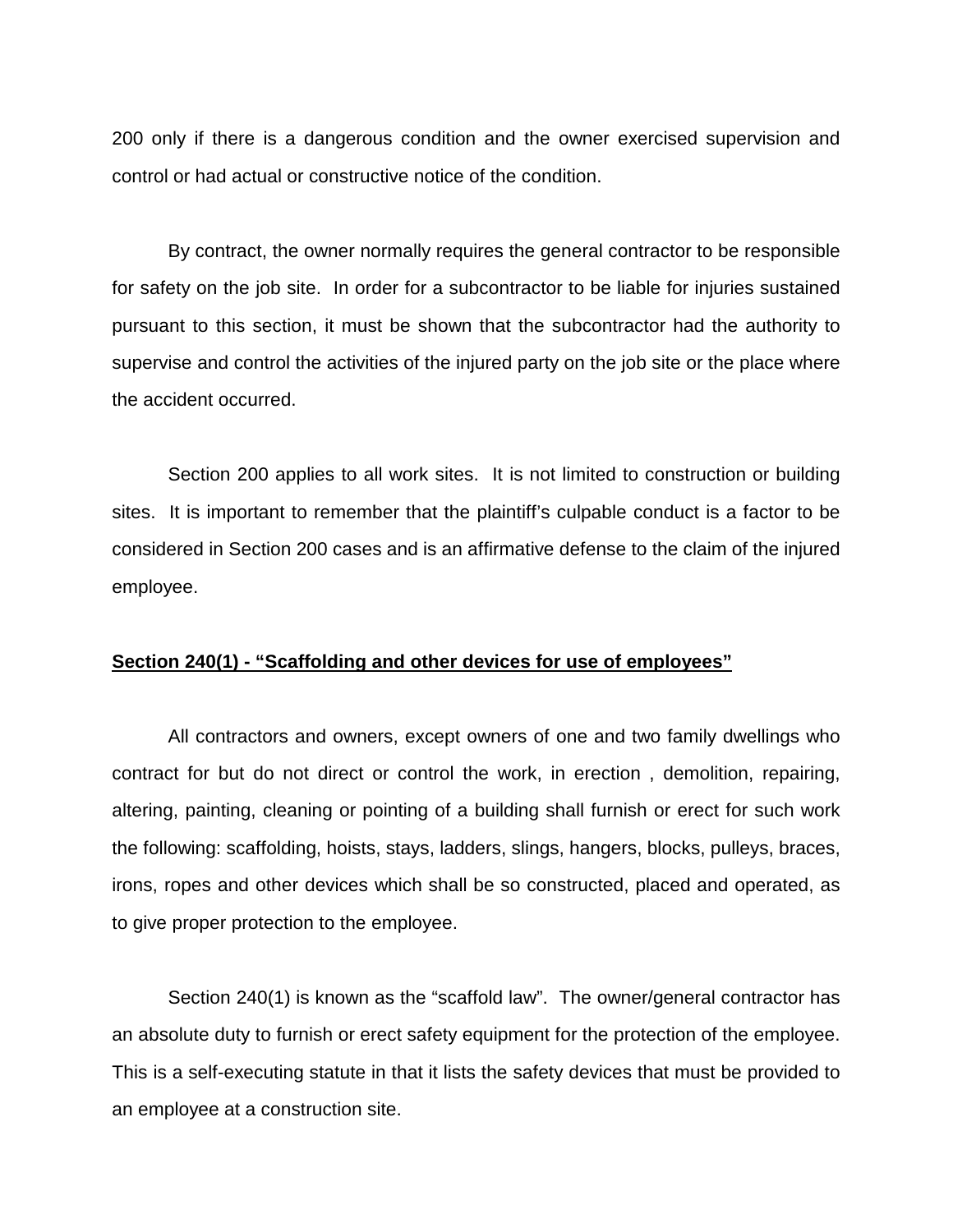200 only if there is a dangerous condition and the owner exercised supervision and control or had actual or constructive notice of the condition.

 By contract, the owner normally requires the general contractor to be responsible for safety on the job site. In order for a subcontractor to be liable for injuries sustained pursuant to this section, it must be shown that the subcontractor had the authority to supervise and control the activities of the injured party on the job site or the place where the accident occurred.

 Section 200 applies to all work sites. It is not limited to construction or building sites. It is important to remember that the plaintiff's culpable conduct is a factor to be considered in Section 200 cases and is an affirmative defense to the claim of the injured employee.

## **Section 240(1) - "Scaffolding and other devices for use of employees"**

 All contractors and owners, except owners of one and two family dwellings who contract for but do not direct or control the work, in erection , demolition, repairing, altering, painting, cleaning or pointing of a building shall furnish or erect for such work the following: scaffolding, hoists, stays, ladders, slings, hangers, blocks, pulleys, braces, irons, ropes and other devices which shall be so constructed, placed and operated, as to give proper protection to the employee.

 Section 240(1) is known as the "scaffold law". The owner/general contractor has an absolute duty to furnish or erect safety equipment for the protection of the employee. This is a self-executing statute in that it lists the safety devices that must be provided to an employee at a construction site.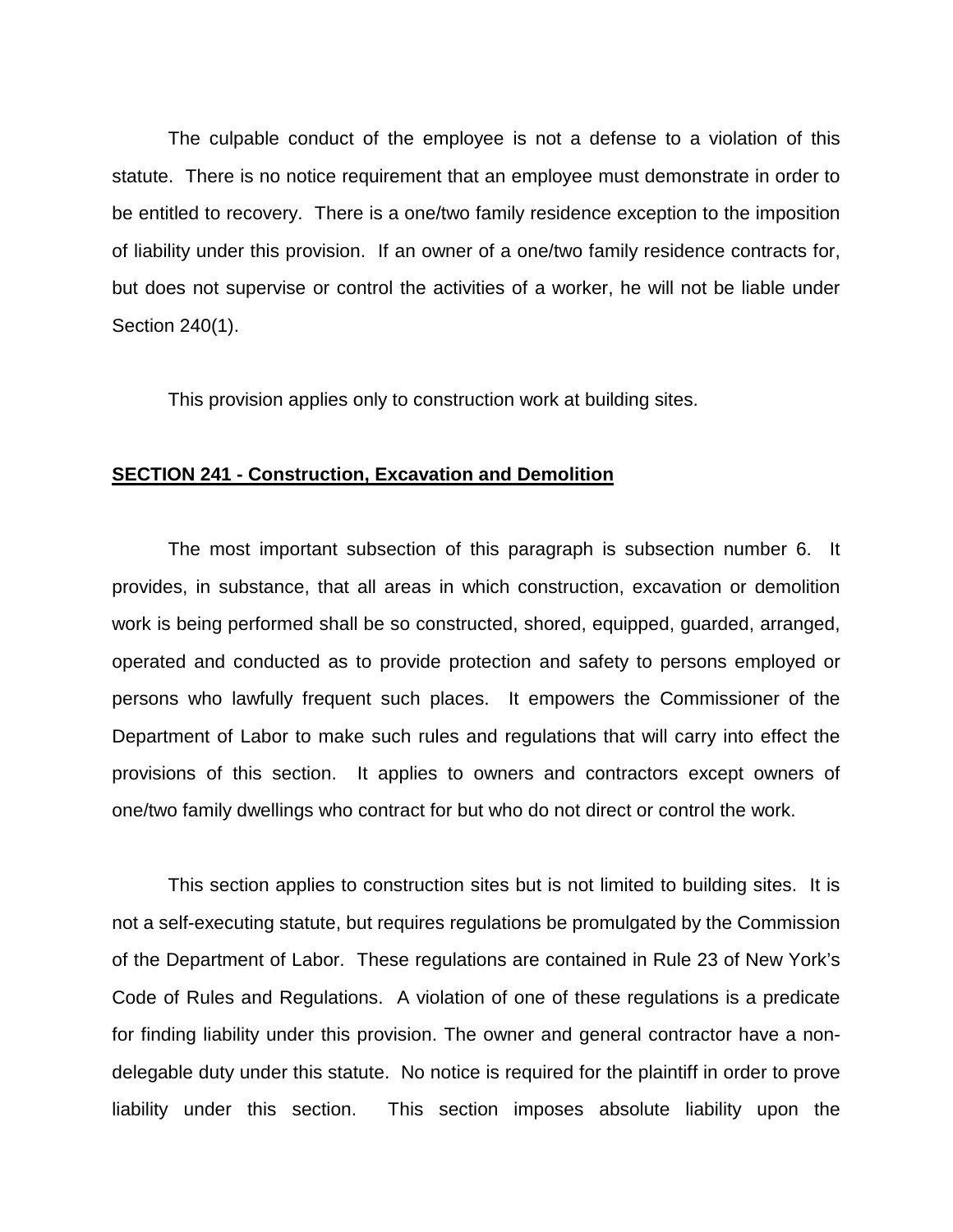The culpable conduct of the employee is not a defense to a violation of this statute. There is no notice requirement that an employee must demonstrate in order to be entitled to recovery. There is a one/two family residence exception to the imposition of liability under this provision. If an owner of a one/two family residence contracts for, but does not supervise or control the activities of a worker, he will not be liable under Section 240(1).

This provision applies only to construction work at building sites.

## **SECTION 241 - Construction, Excavation and Demolition**

 The most important subsection of this paragraph is subsection number 6. It provides, in substance, that all areas in which construction, excavation or demolition work is being performed shall be so constructed, shored, equipped, guarded, arranged, operated and conducted as to provide protection and safety to persons employed or persons who lawfully frequent such places. It empowers the Commissioner of the Department of Labor to make such rules and regulations that will carry into effect the provisions of this section. It applies to owners and contractors except owners of one/two family dwellings who contract for but who do not direct or control the work.

 This section applies to construction sites but is not limited to building sites. It is not a self-executing statute, but requires regulations be promulgated by the Commission of the Department of Labor. These regulations are contained in Rule 23 of New York's Code of Rules and Regulations. A violation of one of these regulations is a predicate for finding liability under this provision. The owner and general contractor have a nondelegable duty under this statute. No notice is required for the plaintiff in order to prove liability under this section. This section imposes absolute liability upon the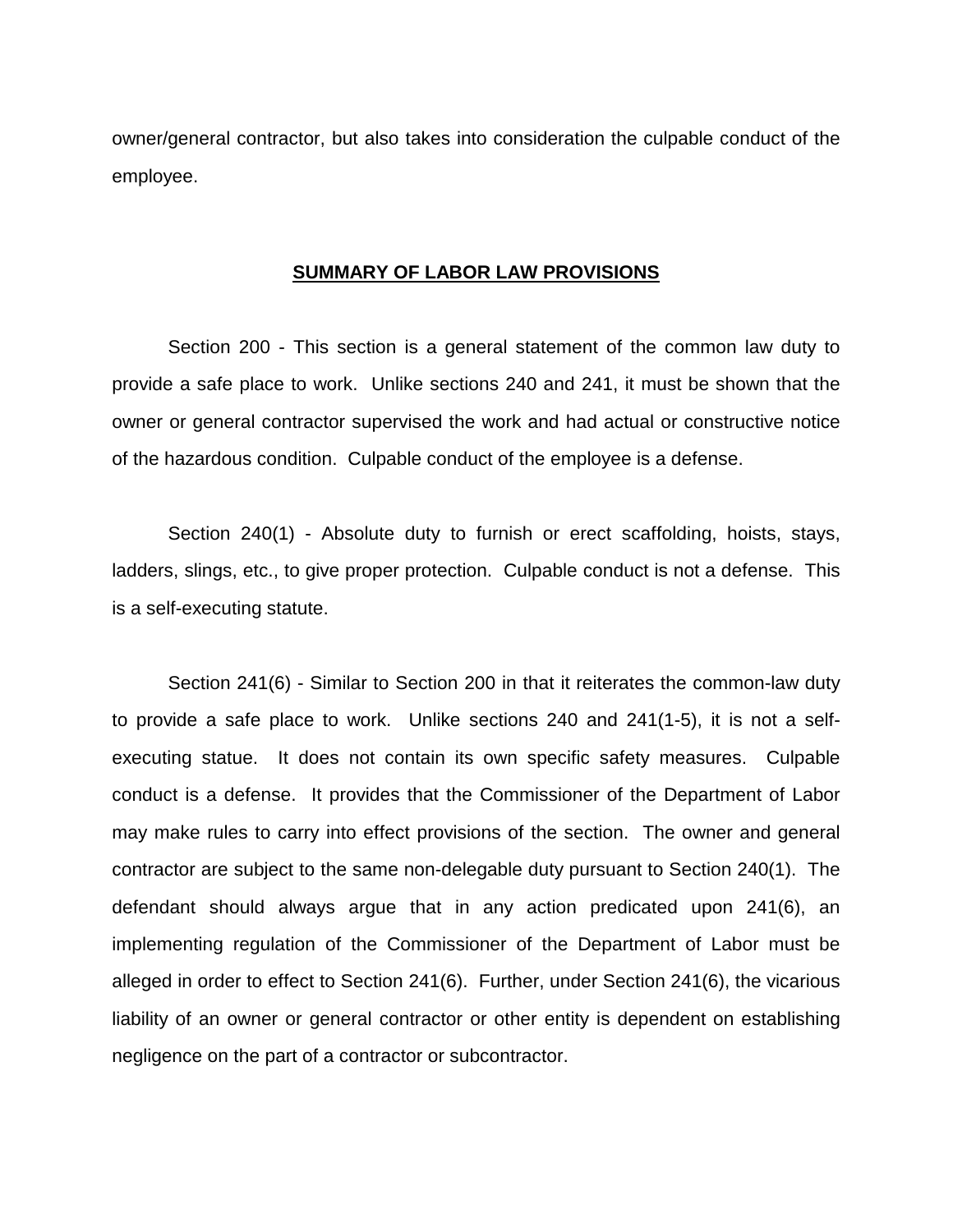owner/general contractor, but also takes into consideration the culpable conduct of the employee.

#### **SUMMARY OF LABOR LAW PROVISIONS**

 Section 200 - This section is a general statement of the common law duty to provide a safe place to work. Unlike sections 240 and 241, it must be shown that the owner or general contractor supervised the work and had actual or constructive notice of the hazardous condition. Culpable conduct of the employee is a defense.

 Section 240(1) - Absolute duty to furnish or erect scaffolding, hoists, stays, ladders, slings, etc., to give proper protection. Culpable conduct is not a defense. This is a self-executing statute.

 Section 241(6) - Similar to Section 200 in that it reiterates the common-law duty to provide a safe place to work. Unlike sections 240 and 241(1-5), it is not a selfexecuting statue. It does not contain its own specific safety measures. Culpable conduct is a defense. It provides that the Commissioner of the Department of Labor may make rules to carry into effect provisions of the section. The owner and general contractor are subject to the same non-delegable duty pursuant to Section 240(1). The defendant should always argue that in any action predicated upon 241(6), an implementing regulation of the Commissioner of the Department of Labor must be alleged in order to effect to Section 241(6). Further, under Section 241(6), the vicarious liability of an owner or general contractor or other entity is dependent on establishing negligence on the part of a contractor or subcontractor.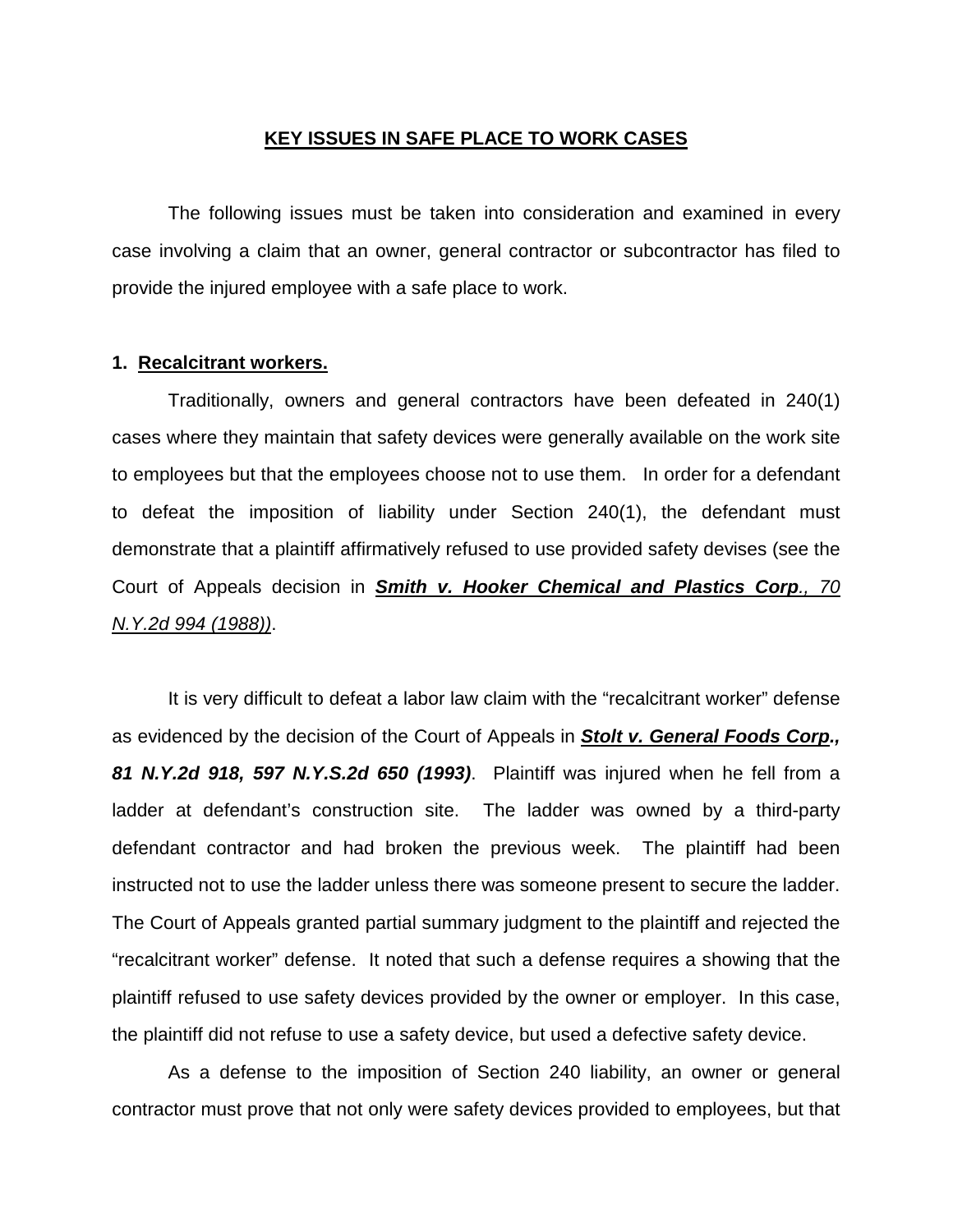## **KEY ISSUES IN SAFE PLACE TO WORK CASES**

The following issues must be taken into consideration and examined in every case involving a claim that an owner, general contractor or subcontractor has filed to provide the injured employee with a safe place to work.

## **1. Recalcitrant workers.**

 Traditionally, owners and general contractors have been defeated in 240(1) cases where they maintain that safety devices were generally available on the work site to employees but that the employees choose not to use them. In order for a defendant to defeat the imposition of liability under Section 240(1), the defendant must demonstrate that a plaintiff affirmatively refused to use provided safety devises (see the Court of Appeals decision in *Smith v. Hooker Chemical and Plastics Corp., 70 N.Y.2d 994 (1988))*.

 It is very difficult to defeat a labor law claim with the "recalcitrant worker" defense as evidenced by the decision of the Court of Appeals in *Stolt v. General Foods Corp., 81 N.Y.2d 918, 597 N.Y.S.2d 650 (1993)*. Plaintiff was injured when he fell from a ladder at defendant's construction site. The ladder was owned by a third-party defendant contractor and had broken the previous week. The plaintiff had been instructed not to use the ladder unless there was someone present to secure the ladder. The Court of Appeals granted partial summary judgment to the plaintiff and rejected the "recalcitrant worker" defense. It noted that such a defense requires a showing that the plaintiff refused to use safety devices provided by the owner or employer. In this case, the plaintiff did not refuse to use a safety device, but used a defective safety device.

 As a defense to the imposition of Section 240 liability, an owner or general contractor must prove that not only were safety devices provided to employees, but that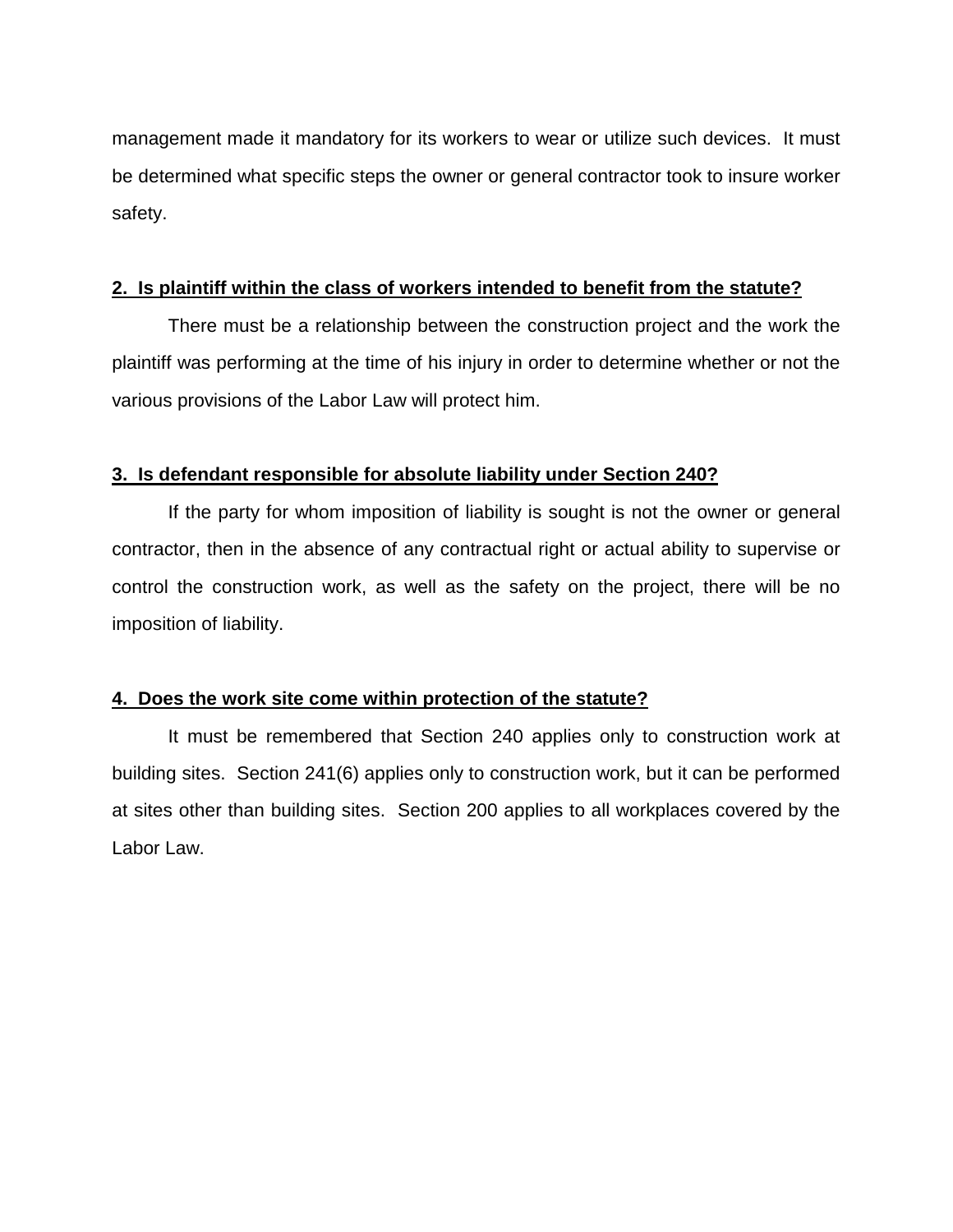management made it mandatory for its workers to wear or utilize such devices. It must be determined what specific steps the owner or general contractor took to insure worker safety.

# **2. Is plaintiff within the class of workers intended to benefit from the statute?**

 There must be a relationship between the construction project and the work the plaintiff was performing at the time of his injury in order to determine whether or not the various provisions of the Labor Law will protect him.

## **3. Is defendant responsible for absolute liability under Section 240?**

 If the party for whom imposition of liability is sought is not the owner or general contractor, then in the absence of any contractual right or actual ability to supervise or control the construction work, as well as the safety on the project, there will be no imposition of liability.

# **4. Does the work site come within protection of the statute?**

 It must be remembered that Section 240 applies only to construction work at building sites. Section 241(6) applies only to construction work, but it can be performed at sites other than building sites. Section 200 applies to all workplaces covered by the Labor Law.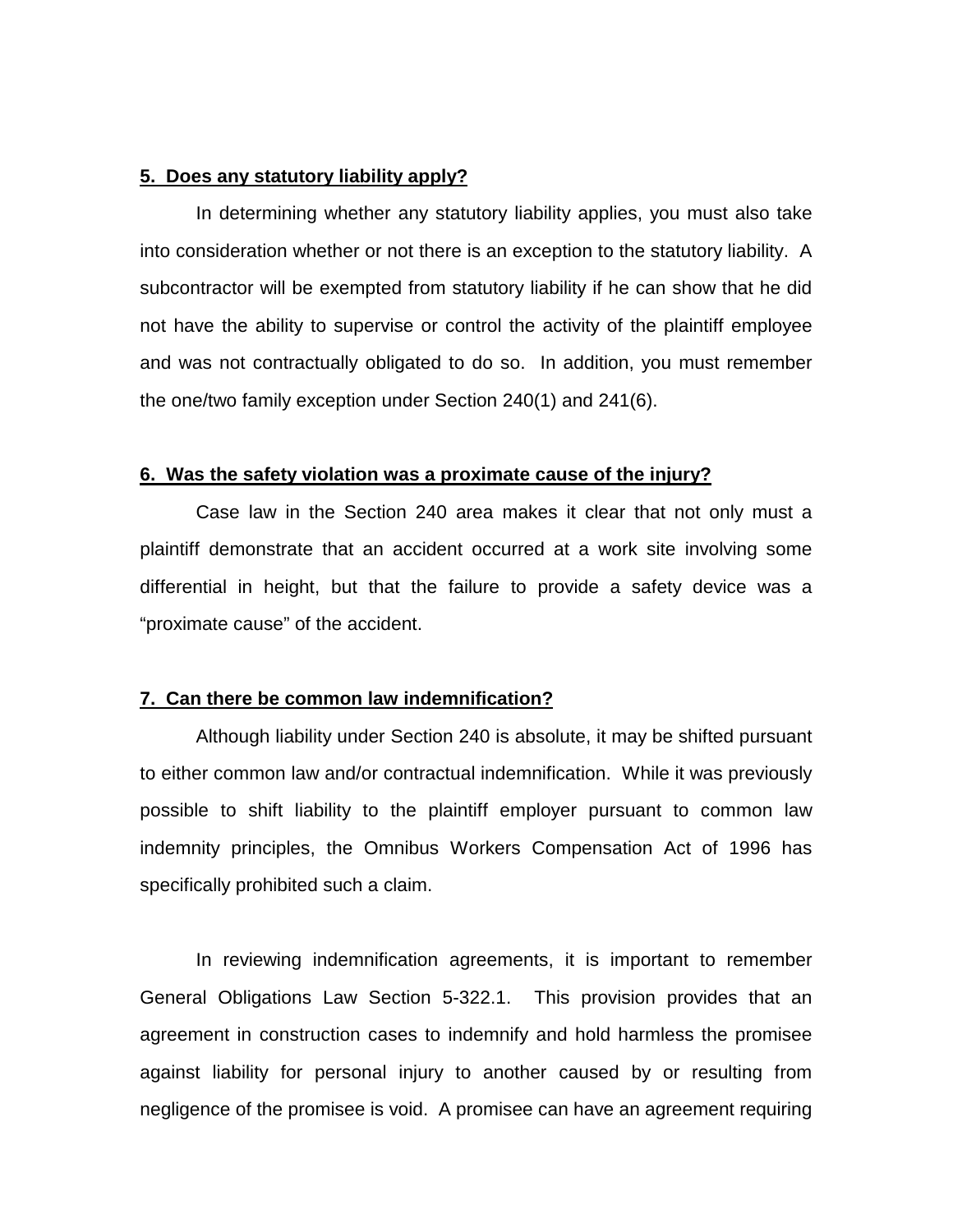## **5. Does any statutory liability apply?**

 In determining whether any statutory liability applies, you must also take into consideration whether or not there is an exception to the statutory liability. A subcontractor will be exempted from statutory liability if he can show that he did not have the ability to supervise or control the activity of the plaintiff employee and was not contractually obligated to do so. In addition, you must remember the one/two family exception under Section 240(1) and 241(6).

## **6. Was the safety violation was a proximate cause of the injury?**

 Case law in the Section 240 area makes it clear that not only must a plaintiff demonstrate that an accident occurred at a work site involving some differential in height, but that the failure to provide a safety device was a "proximate cause" of the accident.

#### **7. Can there be common law indemnification?**

 Although liability under Section 240 is absolute, it may be shifted pursuant to either common law and/or contractual indemnification. While it was previously possible to shift liability to the plaintiff employer pursuant to common law indemnity principles, the Omnibus Workers Compensation Act of 1996 has specifically prohibited such a claim.

 In reviewing indemnification agreements, it is important to remember General Obligations Law Section 5-322.1. This provision provides that an agreement in construction cases to indemnify and hold harmless the promisee against liability for personal injury to another caused by or resulting from negligence of the promisee is void. A promisee can have an agreement requiring